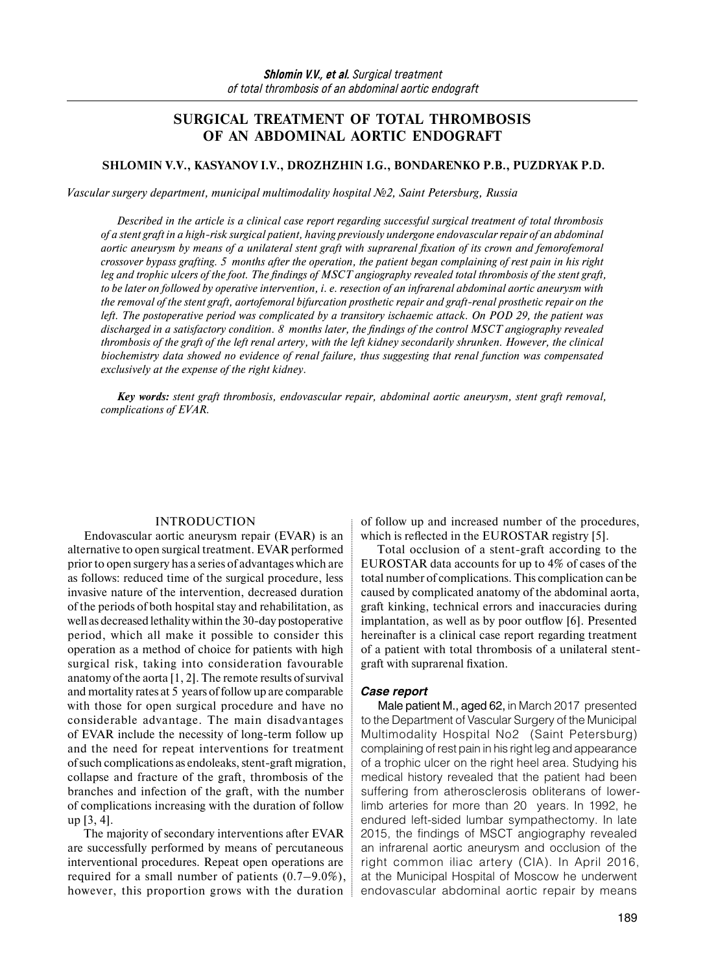# **SURGICAL TREATMENT OF TOTAL THROMBOSIS OF AN ABDOMINAL AORTIC ENDOGRAFT**

#### **SHLOMIN V.V., KASYANOV I.V., DROZHZHIN I.G., BONDARENKO P.B., PUZDRYAK P.D.**

*Vascular surgery department, municipal multimodality hospital №2, Saint Petersburg, Russia* 

*Described in the article is a clinical case report regarding successful surgical treatment of total thrombosis of a stent graft in a high-risk surgical patient, having previously undergone endovascular repair of an abdominal aortic aneurysm by means of a unilateral stent graft with suprarenal fixation of its crown and femorofemoral crossover bypass grafting. 5 months after the operation, the patient began complaining of rest pain in his right leg and trophic ulcers of the foot. The findings of MSCT angiography revealed total thrombosis of the stent graft, to be later on followed by operative intervention, i. e. resection of an infrarenal abdominal aortic aneurysm with the removal of the stent graft, aortofemoral bifurcation prosthetic repair and graft-renal prosthetic repair on the left. The postoperative period was complicated by a transitory ischaemic attack. On POD 29, the patient was discharged in a satisfactory condition. 8 months later, the findings of the control MSCT angiography revealed thrombosis of the graft of the left renal artery, with the left kidney secondarily shrunken. However, the clinical biochemistry data showed no evidence of renal failure, thus suggesting that renal function was compensated exclusively at the expense of the right kidney.* 

*Key words: stent graft thrombosis, endovascular repair, abdominal aortic aneurysm, stent graft removal, complications of EVAR.* 

#### INTRODUCTION

Endovascular aortic aneurysm repair (EVAR) is an alternative to open surgical treatment. EVAR performed prior to open surgery has a series of advantages which are as follows: reduced time of the surgical procedure, less invasive nature of the intervention, decreased duration of the periods of both hospital stay and rehabilitation, as well as decreased lethality within the 30-day postoperative period, which all make it possible to consider this operation as a method of choice for patients with high surgical risk, taking into consideration favourable anatomy of the aorta  $[1, 2]$ . The remote results of survival and mortality rates at 5 years of follow up are comparable with those for open surgical procedure and have no considerable advantage. The main disadvantages of EVAR include the necessity of long-term follow up and the need for repeat interventions for treatment ofsuch complications as endoleaks, stent-graft migration, collapse and fracture of the graft, thrombosis of the branches and infection of the graft, with the number of complications increasing with the duration of follow up [3, 4].

The majority of secondary interventions after EVAR are successfully performed by means of percutaneous interventional procedures. Repeat open operations are required for a small number of patients (0.7–9.0%), however, this proportion grows with the duration of follow up and increased number of the procedures, which is reflected in the EUROSTAR registry [5].

Total occlusion of a stent-graft according to the EUROSTAR data accounts for up to 4% of cases of the total number of complications. This complication can be caused by complicated anatomy of the abdominal aorta, graft kinking, technical errors and inaccuracies during implantation, as well as by poor outflow [6]. Presented hereinafter is a clinical case report regarding treatment of a patient with total thrombosis of a unilateral stentgraft with suprarenal fixation.

#### *Case report*

Male patient M., aged 62, in March 2017 presented to the Department of Vascular Surgery of the Municipal Multimodality Hospital No2 (Saint Petersburg) complaining of rest pain in his right leg and appearance of a trophic ulcer on the right heel area. Studying his medical history revealed that the patient had been suffering from atherosclerosis obliterans of lowerlimb arteries for more than 20 years. In 1992, he endured left-sided lumbar sympathectomy. In late 2015, the findings of MSCT angiography revealed an infrarenal aortic aneurysm and occlusion of the right common iliac artery (CIA). In April 2016, at the Municipal Hospital of Moscow he underwent endovascular abdominal aortic repair by means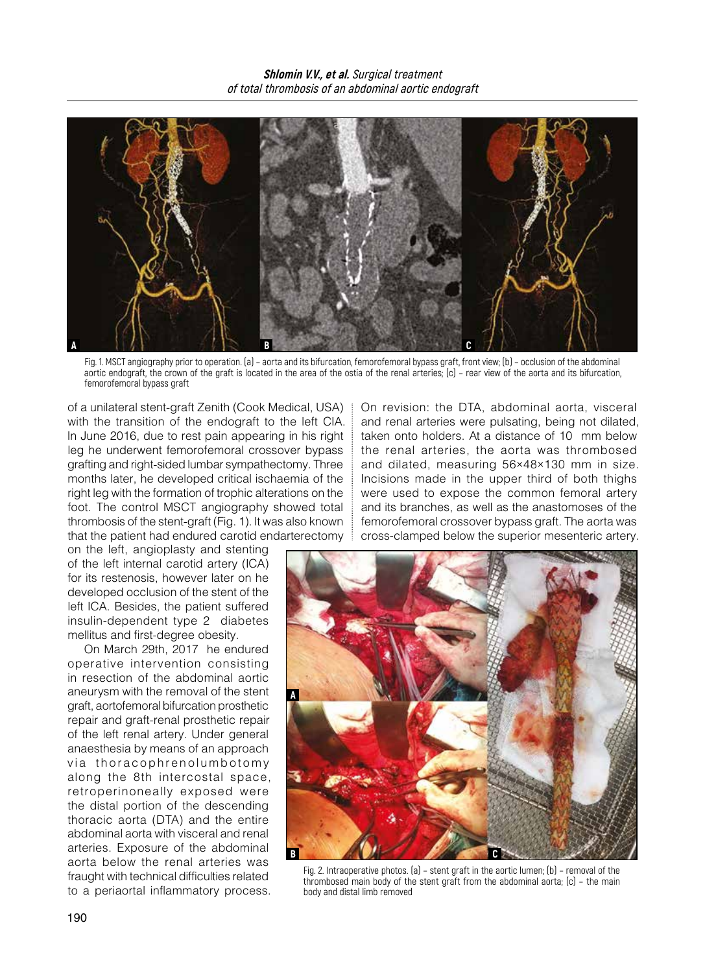

Fig. 1. MSCT angiography prior to operation. (a) – aorta and its bifurcation, femorofemoral bypass graft, front view; (b) – occlusion of the abdominal aortic endograft, the crown of the graft is located in the area of the ostia of the renal arteries; (c) – rear view of the aorta and its bifurcation, femorofemoral bypass graft

of a unilateral stent-graft Zenith (Cook Medical, USA) with the transition of the endograft to the left CIA. In June 2016, due to rest pain appearing in his right leg he underwent femorofemoral crossover bypass grafting and right-sided lumbar sympathectomy. Three months later, he developed critical ischaemia of the right leg with the formation of trophic alterations on the foot. The control MSCT angiography showed total thrombosis of the stent-graft (Fig. 1). It was also known that the patient had endured carotid endarterectomy

on the left, angioplasty and stenting of the left internal carotid artery (ICA) for its restenosis, however later on he developed occlusion of the stent of the left ICA. Besides, the patient suffered insulin-dependent type 2 diabetes mellitus and first-degree obesity.

On March 29th, 2017 he endured operative intervention consisting in resection of the abdominal aortic aneurysm with the removal of the stent graft, aortofemoral bifurcation prosthetic repair and graft-renal prosthetic repair of the left renal artery. Under general anaesthesia by means of an approach via thoracophrenolumbotomy along the 8th intercostal space, retroperinoneally exposed were the distal portion of the descending thoracic aorta (DTA) and the entire abdominal aorta with visceral and renal arteries. Exposure of the abdominal aorta below the renal arteries was fraught with technical difficulties related to a periaortal inflammatory process. On revision: the DTA, abdominal aorta, visceral and renal arteries were pulsating, being not dilated, taken onto holders. At a distance of 10 mm below the renal arteries, the aorta was thrombosed and dilated, measuring 56×48×130 mm in size. Incisions made in the upper third of both thighs were used to expose the common femoral artery and its branches, as well as the anastomoses of the femorofemoral crossover bypass graft. The aorta was cross-clamped below the superior mesenteric artery.



Fig. 2. Intraoperative photos. (а) – stent graft in the aortic lumen; (b) – removal of the thrombosed main body of the stent graft from the abdominal aorta; (c) – the main body and distal limb removed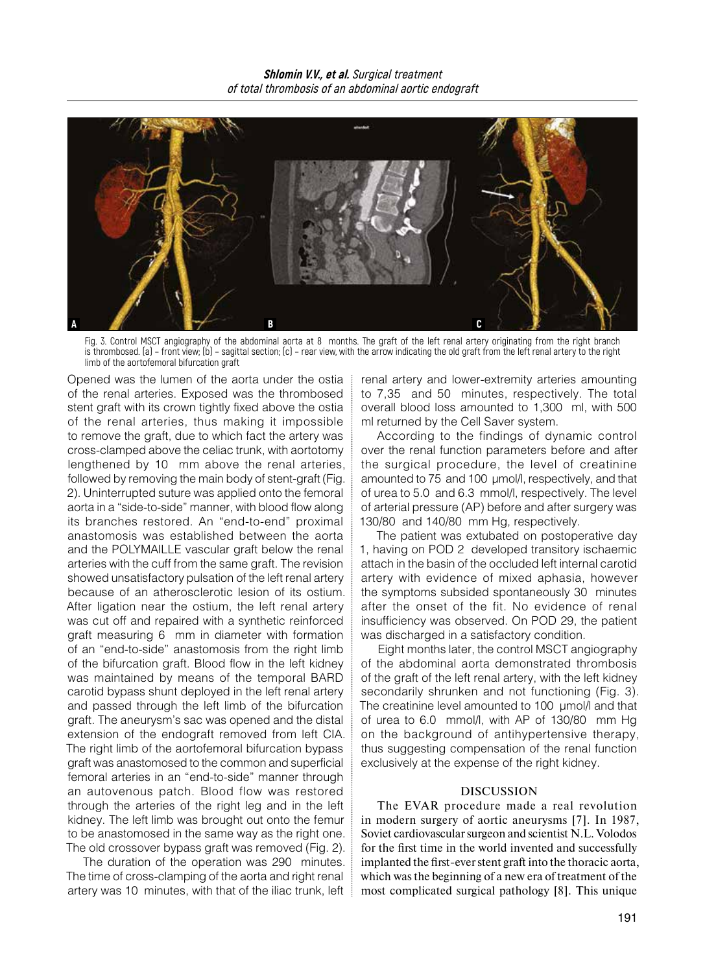

Fig. 3. Control MSCT angiography of the abdominal aorta at 8 months. The graft of the left renal artery originating from the right branch is thrombosed. (а) – front view; (b) – sagittal section; (c) – rear view, with the arrow indicating the old graft from the left renal artery to the right limb of the aortofemoral bifurcation graft

Opened was the lumen of the aorta under the ostia of the renal arteries. Exposed was the thrombosed stent graft with its crown tightly fixed above the ostia of the renal arteries, thus making it impossible to remove the graft, due to which fact the artery was cross-clamped above the celiac trunk, with aortotomy lengthened by 10 mm above the renal arteries, followed by removing the main body of stent-graft (Fig. 2). Uninterrupted suture was applied onto the femoral aorta in a "side-to-side" manner, with blood flow along its branches restored. An "end-to-end" proximal anastomosis was established between the aorta and the POLYMAILLE vascular graft below the renal arteries with the cuff from the same graft. The revision showed unsatisfactory pulsation of the left renal artery because of an atherosclerotic lesion of its ostium. After ligation near the ostium, the left renal artery was cut off and repaired with a synthetic reinforced graft measuring 6 mm in diameter with formation of an "end-to-side" anastomosis from the right limb of the bifurcation graft. Blood flow in the left kidney was maintained by means of the temporal BARD carotid bypass shunt deployed in the left renal artery and passed through the left limb of the bifurcation graft. The aneurysm's sac was opened and the distal extension of the endograft removed from left CIA. The right limb of the aortofemoral bifurcation bypass graft was anastomosed to the common and superficial femoral arteries in an "end-to-side" manner through an autovenous patch. Blood flow was restored through the arteries of the right leg and in the left kidney. The left limb was brought out onto the femur to be anastomosed in the same way as the right one. The old crossover bypass graft was removed (Fig. 2).

The duration of the operation was 290 minutes. The time of cross-clamping of the aorta and right renal artery was 10 minutes, with that of the iliac trunk, left

renal artery and lower-extremity arteries amounting to 7,35 and 50 minutes, respectively. The total overall blood loss amounted to 1,300 ml, with 500 ml returned by the Cell Saver system.

According to the findings of dynamic control over the renal function parameters before and after the surgical procedure, the level of creatinine amounted to 75 and 100 μmol/l, respectively, and that of urea to 5.0 and 6.3 mmol/l, respectively. The level of arterial pressure (AP) before and after surgery was 130/80 and 140/80 mm Hg, respectively.

The patient was extubated on postoperative day 1, having on POD 2 developed transitory ischaemic attach in the basin of the occluded left internal carotid artery with evidence of mixed aphasia, however the symptoms subsided spontaneously 30 minutes after the onset of the fit. No evidence of renal insufficiency was observed. On POD 29, the patient was discharged in a satisfactory condition.

Eight months later, the control MSCT angiography of the abdominal aorta demonstrated thrombosis of the graft of the left renal artery, with the left kidney secondarily shrunken and not functioning (Fig. 3). The creatinine level amounted to 100 μmol/l and that of urea to 6.0 mmol/l, with AP of 130/80 mm Hg on the background of antihypertensive therapy, thus suggesting compensation of the renal function exclusively at the expense of the right kidney.

## DISCUSSION

The EVAR procedure made a real revolution in modern surgery of aortic aneurysms [7]. In 1987, Soviet cardiovascular surgeon and scientist N.L. Volodos for the first time in the world invented and successfully implanted the first-ever stent graft into the thoracic aorta, which was the beginning of a new era of treatment of the most complicated surgical pathology [8]. This unique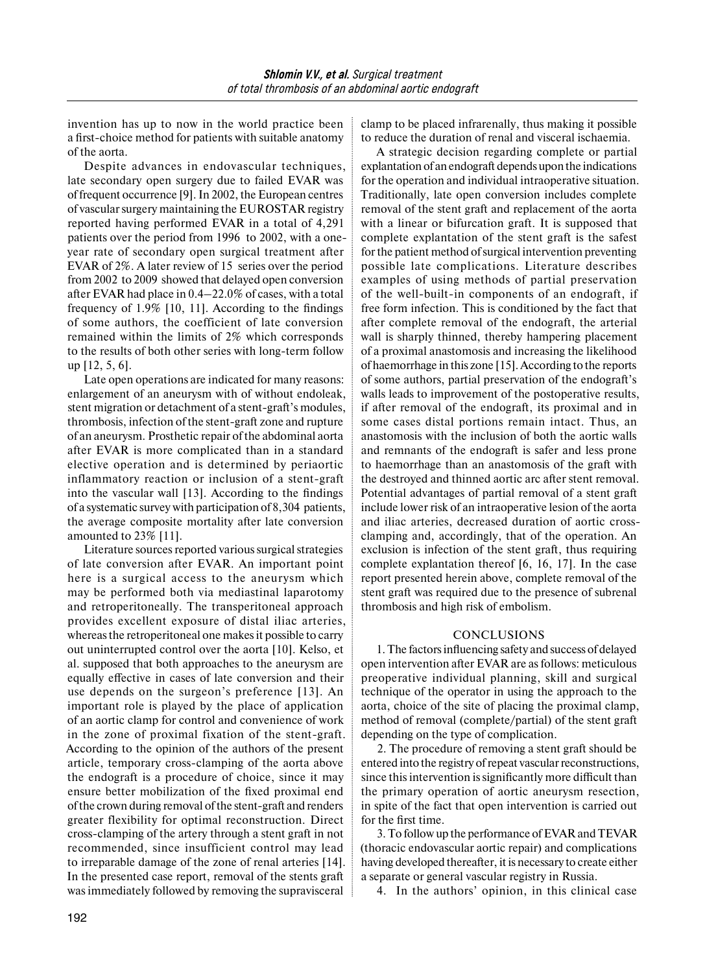invention has up to now in the world practice been a first-choice method for patients with suitable anatomy of the aorta.

Despite advances in endovascular techniques, late secondary open surgery due to failed EVAR was of frequent occurrence [9]. In 2002, the European centres of vascular surgery maintaining the EUROSTAR registry reported having performed EVAR in a total of 4,291 patients over the period from 1996 to 2002, with a oneyear rate of secondary open surgical treatment after EVAR of 2%. A later review of 15 series over the period from 2002 to 2009 showed that delayed open conversion after EVAR had place in 0.4–22.0% of cases, with a total frequency of 1.9% [10, 11]. According to the findings of some authors, the coefficient of late conversion remained within the limits of 2% which corresponds to the results of both other series with long-term follow up [12, 5, 6].

Late open operations are indicated for many reasons: enlargement of an aneurysm with of without endoleak, stent migration or detachment of a stent-graft's modules, thrombosis, infection of the stent-graft zone and rupture of an aneurysm. Prosthetic repair of the abdominal aorta after EVAR is more complicated than in a standard elective operation and is determined by periaortic inflammatory reaction or inclusion of a stent-graft into the vascular wall [13]. According to the findings of a systematic survey with participation of 8,304 patients, the average composite mortality after late conversion amounted to 23% [11].

Literature sources reported various surgical strategies of late conversion after EVAR. An important point here is a surgical access to the aneurysm which may be performed both via mediastinal laparotomy and retroperitoneally. The transperitoneal approach provides excellent exposure of distal iliac arteries, whereas the retroperitoneal one makes it possible to carry out uninterrupted control over the aorta [10]. Kelso, et al. supposed that both approaches to the aneurysm are equally effective in cases of late conversion and their use depends on the surgeon's preference [13]. An important role is played by the place of application of an aortic clamp for control and convenience of work in the zone of proximal fixation of the stent-graft. According to the opinion of the authors of the present article, temporary cross-clamping of the aorta above the endograft is a procedure of choice, since it may ensure better mobilization of the fixed proximal end of the crown during removal of the stent-graft and renders greater flexibility for optimal reconstruction. Direct cross-clamping of the artery through a stent graft in not recommended, since insufficient control may lead to irreparable damage of the zone of renal arteries [14]. In the presented case report, removal of the stents graft was immediately followed by removing the supravisceral

clamp to be placed infrarenally, thus making it possible to reduce the duration of renal and visceral ischaemia.

A strategic decision regarding complete or partial explantation of an endograft depends upon the indications for the operation and individual intraoperative situation. Traditionally, late open conversion includes complete removal of the stent graft and replacement of the aorta with a linear or bifurcation graft. It is supposed that complete explantation of the stent graft is the safest for the patient method of surgical intervention preventing possible late complications. Literature describes examples of using methods of partial preservation of the well-built-in components of an endograft, if free form infection. This is conditioned by the fact that after complete removal of the endograft, the arterial wall is sharply thinned, thereby hampering placement of a proximal anastomosis and increasing the likelihood of haemorrhage in this zone [15]. According to the reports of some authors, partial preservation of the endograft's walls leads to improvement of the postoperative results, if after removal of the endograft, its proximal and in some cases distal portions remain intact. Thus, an anastomosis with the inclusion of both the aortic walls and remnants of the endograft is safer and less prone to haemorrhage than an anastomosis of the graft with the destroyed and thinned aortic arc after stent removal. Potential advantages of partial removal of a stent graft include lower risk of an intraoperative lesion of the aorta and iliac arteries, decreased duration of aortic crossclamping and, accordingly, that of the operation. An exclusion is infection of the stent graft, thus requiring complete explantation thereof [6, 16, 17]. In the case report presented herein above, complete removal of the stent graft was required due to the presence of subrenal thrombosis and high risk of embolism.

## CONCLUSIONS

1. The factors influencing safety and success of delayed open intervention after EVAR are as follows: meticulous preoperative individual planning, skill and surgical technique of the operator in using the approach to the aorta, choice of the site of placing the proximal clamp, method of removal (complete/partial) of the stent graft depending on the type of complication.

2. The procedure of removing a stent graft should be entered into the registry of repeat vascular reconstructions, since this intervention issignificantly more difficult than the primary operation of aortic aneurysm resection, in spite of the fact that open intervention is carried out for the first time.

3. To follow up the performance ofEVAR andTEVAR (thoracic endovascular aortic repair) and complications having developed thereafter, it is necessary to create either a separate or general vascular registry in Russia.

4. In the authors' opinion, in this clinical case